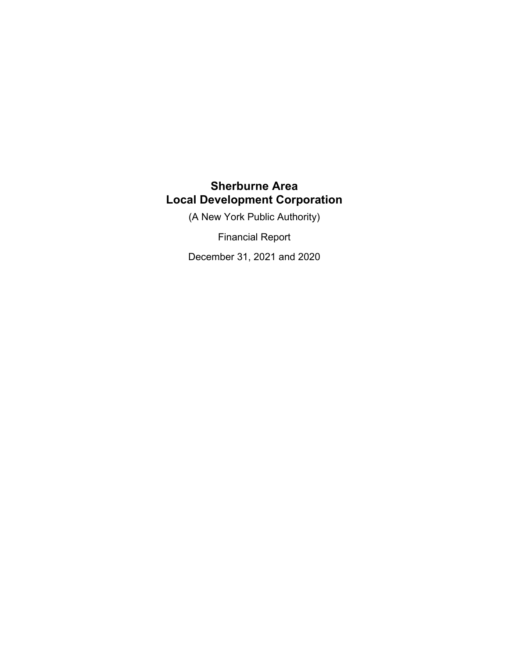(A New York Public Authority)

Financial Report

December 31, 2021 and 2020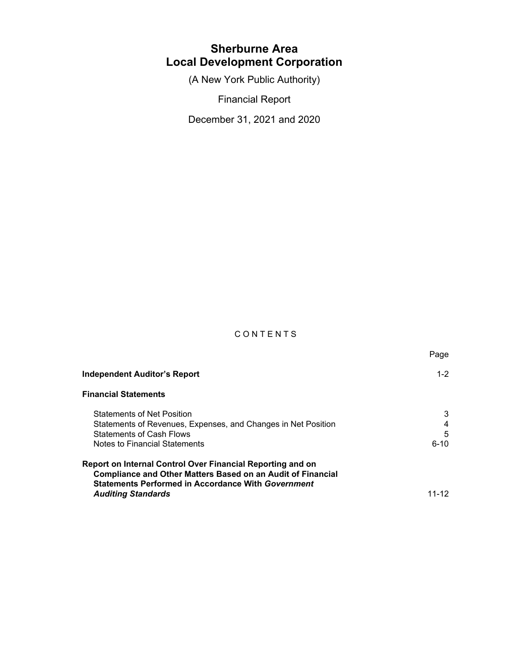(A New York Public Authority)

Financial Report

December 31, 2021 and 2020

## C O N T E N T S

**Page State State State State State State State State State State State State State State State State State St** 

| <b>Independent Auditor's Report</b>                                                                                                                                                           | $1 - 2$                 |
|-----------------------------------------------------------------------------------------------------------------------------------------------------------------------------------------------|-------------------------|
| <b>Financial Statements</b>                                                                                                                                                                   |                         |
| <b>Statements of Net Position</b><br>Statements of Revenues, Expenses, and Changes in Net Position<br><b>Statements of Cash Flows</b><br>Notes to Financial Statements                        | 3<br>4<br>5<br>$6 - 10$ |
| Report on Internal Control Over Financial Reporting and on<br><b>Compliance and Other Matters Based on an Audit of Financial</b><br><b>Statements Performed in Accordance With Government</b> |                         |
| <b>Auditing Standards</b>                                                                                                                                                                     | 11-12                   |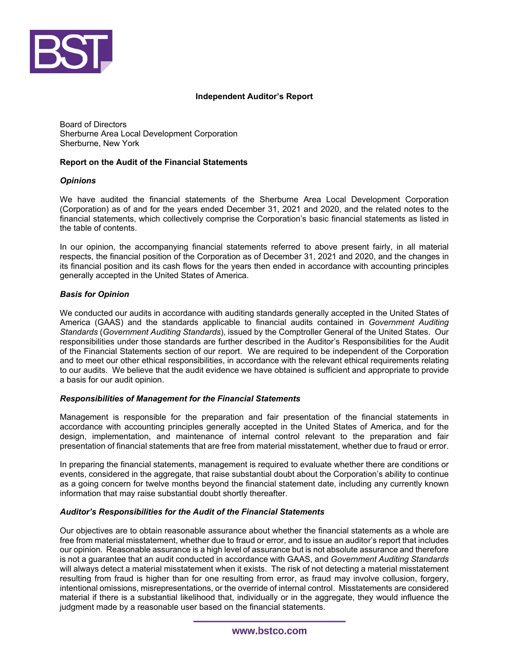

#### **Independent Auditor's Report**

Board of Directors Sherburne Area Local Development Corporation Sherburne, New York

#### **Report on the Audit of the Financial Statements**

#### *Opinions*

We have audited the financial statements of the Sherburne Area Local Development Corporation (Corporation) as of and for the years ended December 31, 2021 and 2020, and the related notes to the financial statements, which collectively comprise the Corporation's basic financial statements as listed in the table of contents.

In our opinion, the accompanying financial statements referred to above present fairly, in all material respects, the financial position of the Corporation as of December 31, 2021 and 2020, and the changes in its financial position and its cash flows for the years then ended in accordance with accounting principles generally accepted in the United States of America.

#### *Basis for Opinion*

We conducted our audits in accordance with auditing standards generally accepted in the United States of America (GAAS) and the standards applicable to financial audits contained in *Government Auditing Standards* (*Government Auditing Standards*)*,* issued by the Comptroller General of the United States. Our responsibilities under those standards are further described in the Auditor's Responsibilities for the Audit of the Financial Statements section of our report. We are required to be independent of the Corporation and to meet our other ethical responsibilities, in accordance with the relevant ethical requirements relating to our audits. We believe that the audit evidence we have obtained is sufficient and appropriate to provide a basis for our audit opinion.

#### *Responsibilities of Management for the Financial Statements*

Management is responsible for the preparation and fair presentation of the financial statements in accordance with accounting principles generally accepted in the United States of America, and for the design, implementation, and maintenance of internal control relevant to the preparation and fair presentation of financial statements that are free from material misstatement, whether due to fraud or error.

In preparing the financial statements, management is required to evaluate whether there are conditions or events, considered in the aggregate, that raise substantial doubt about the Corporation's ability to continue as a going concern for twelve months beyond the financial statement date, including any currently known information that may raise substantial doubt shortly thereafter.

### *Auditor's Responsibilities for the Audit of the Financial Statements*

Our objectives are to obtain reasonable assurance about whether the financial statements as a whole are free from material misstatement, whether due to fraud or error, and to issue an auditor's report that includes our opinion. Reasonable assurance is a high level of assurance but is not absolute assurance and therefore is not a guarantee that an audit conducted in accordance with GAAS, and *Government Auditing Standards* will always detect a material misstatement when it exists. The risk of not detecting a material misstatement resulting from fraud is higher than for one resulting from error, as fraud may involve collusion, forgery, intentional omissions, misrepresentations, or the override of internal control. Misstatements are considered material if there is a substantial likelihood that, individually or in the aggregate, they would influence the judgment made by a reasonable user based on the financial statements.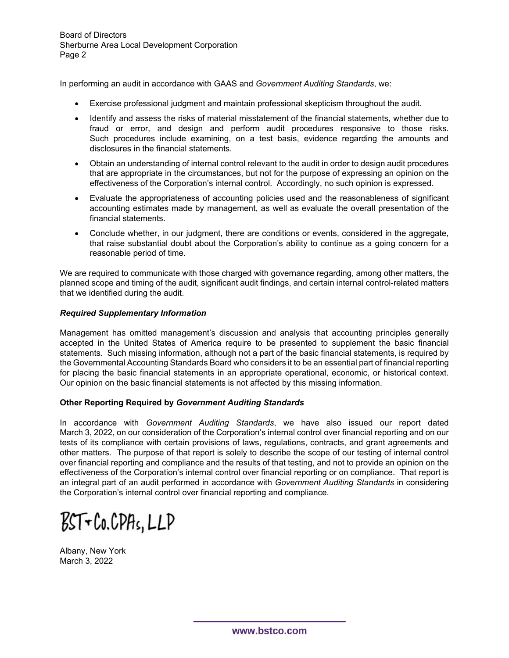In performing an audit in accordance with GAAS and *Government Auditing Standards*, we:

- Exercise professional judgment and maintain professional skepticism throughout the audit.
- Identify and assess the risks of material misstatement of the financial statements, whether due to fraud or error, and design and perform audit procedures responsive to those risks. Such procedures include examining, on a test basis, evidence regarding the amounts and disclosures in the financial statements.
- Obtain an understanding of internal control relevant to the audit in order to design audit procedures that are appropriate in the circumstances, but not for the purpose of expressing an opinion on the effectiveness of the Corporation's internal control. Accordingly, no such opinion is expressed.
- Evaluate the appropriateness of accounting policies used and the reasonableness of significant accounting estimates made by management, as well as evaluate the overall presentation of the financial statements.
- Conclude whether, in our judgment, there are conditions or events, considered in the aggregate, that raise substantial doubt about the Corporation's ability to continue as a going concern for a reasonable period of time.

We are required to communicate with those charged with governance regarding, among other matters, the planned scope and timing of the audit, significant audit findings, and certain internal control-related matters that we identified during the audit.

### *Required Supplementary Information*

Management has omitted management's discussion and analysis that accounting principles generally accepted in the United States of America require to be presented to supplement the basic financial statements. Such missing information, although not a part of the basic financial statements, is required by the Governmental Accounting Standards Board who considers it to be an essential part of financial reporting for placing the basic financial statements in an appropriate operational, economic, or historical context. Our opinion on the basic financial statements is not affected by this missing information.

### **Other Reporting Required by** *Government Auditing Standards*

In accordance with *Government Auditing Standards*, we have also issued our report dated March 3, 2022, on our consideration of the Corporation's internal control over financial reporting and on our tests of its compliance with certain provisions of laws, regulations, contracts, and grant agreements and other matters. The purpose of that report is solely to describe the scope of our testing of internal control over financial reporting and compliance and the results of that testing, and not to provide an opinion on the effectiveness of the Corporation's internal control over financial reporting or on compliance. That report is an integral part of an audit performed in accordance with *Government Auditing Standards* in considering the Corporation's internal control over financial reporting and compliance.

 $BST$ + $Co.CPHs, LLP$ 

Albany, New York March 3, 2022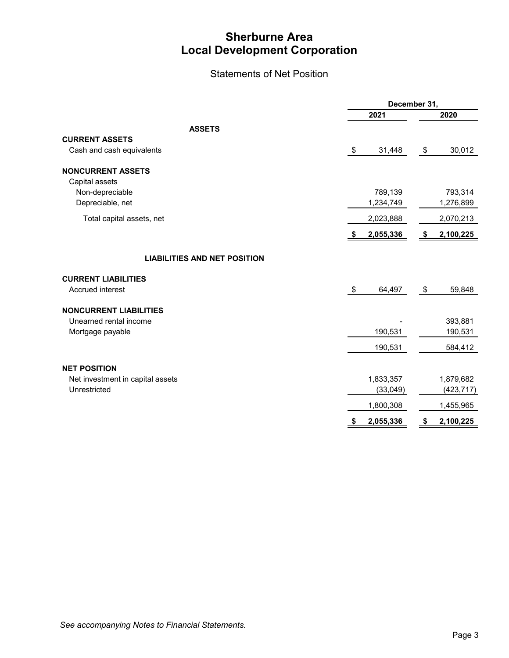## Statements of Net Position

|                                     |                 | December 31,    |  |  |
|-------------------------------------|-----------------|-----------------|--|--|
|                                     | 2021            | 2020            |  |  |
| <b>ASSETS</b>                       |                 |                 |  |  |
| <b>CURRENT ASSETS</b>               |                 |                 |  |  |
| Cash and cash equivalents           | \$<br>31,448    | 30,012<br>\$    |  |  |
| <b>NONCURRENT ASSETS</b>            |                 |                 |  |  |
| Capital assets                      |                 |                 |  |  |
| Non-depreciable                     | 789,139         | 793,314         |  |  |
| Depreciable, net                    | 1,234,749       | 1,276,899       |  |  |
| Total capital assets, net           | 2,023,888       | 2,070,213       |  |  |
|                                     | 2,055,336<br>\$ | 2,100,225<br>\$ |  |  |
| <b>LIABILITIES AND NET POSITION</b> |                 |                 |  |  |
| <b>CURRENT LIABILITIES</b>          |                 |                 |  |  |
| Accrued interest                    | \$<br>64,497    | 59,848<br>\$    |  |  |
| <b>NONCURRENT LIABILITIES</b>       |                 |                 |  |  |
| Unearned rental income              |                 | 393,881         |  |  |
| Mortgage payable                    | 190,531         | 190,531         |  |  |
|                                     | 190,531         | 584,412         |  |  |
| <b>NET POSITION</b>                 |                 |                 |  |  |
| Net investment in capital assets    | 1,833,357       | 1,879,682       |  |  |
| Unrestricted                        | (33, 049)       | (423, 717)      |  |  |
|                                     | 1,800,308       | 1,455,965       |  |  |
|                                     | 2,055,336<br>\$ | 2,100,225<br>\$ |  |  |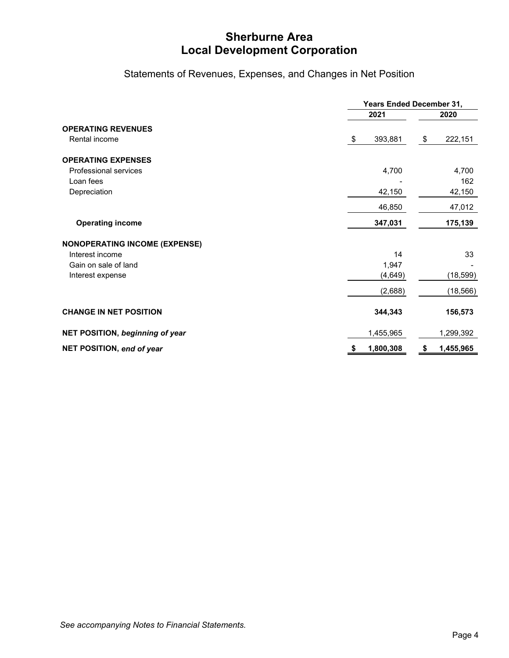Statements of Revenues, Expenses, and Changes in Net Position

|                                            |                 | Years Ended December 31, |  |  |
|--------------------------------------------|-----------------|--------------------------|--|--|
|                                            | 2021            | 2020                     |  |  |
| <b>OPERATING REVENUES</b><br>Rental income | 393,881<br>\$   | 222,151<br>\$            |  |  |
| <b>OPERATING EXPENSES</b>                  |                 |                          |  |  |
| Professional services<br>Loan fees         | 4,700           | 4,700<br>162             |  |  |
| Depreciation                               | 42,150          | 42,150                   |  |  |
|                                            | 46,850          | 47,012                   |  |  |
| <b>Operating income</b>                    | 347,031         | 175,139                  |  |  |
| <b>NONOPERATING INCOME (EXPENSE)</b>       |                 |                          |  |  |
| Interest income                            | 14              | 33                       |  |  |
| Gain on sale of land                       | 1,947           |                          |  |  |
| Interest expense                           | (4,649)         | (18, 599)                |  |  |
|                                            | (2,688)         | (18, 566)                |  |  |
| <b>CHANGE IN NET POSITION</b>              | 344,343         | 156,573                  |  |  |
| NET POSITION, beginning of year            | 1,455,965       | 1,299,392                |  |  |
| NET POSITION, end of year                  | 1,800,308<br>\$ | 1,455,965<br>\$          |  |  |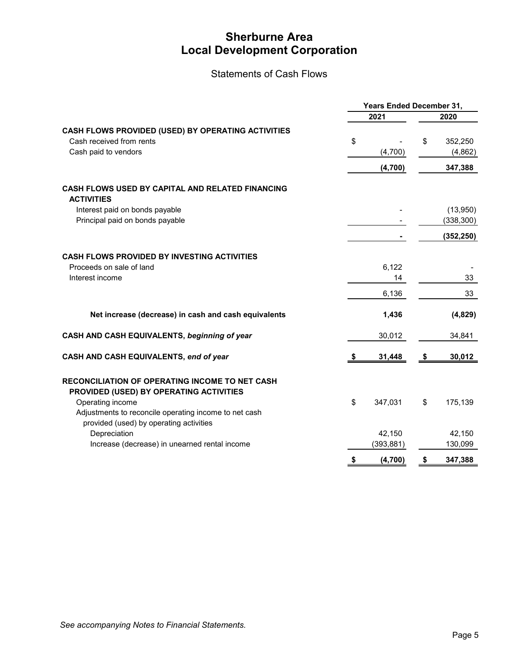Statements of Cash Flows

|                                                                                                               | Years Ended December 31, |            |    |            |
|---------------------------------------------------------------------------------------------------------------|--------------------------|------------|----|------------|
|                                                                                                               |                          | 2021       |    | 2020       |
| CASH FLOWS PROVIDED (USED) BY OPERATING ACTIVITIES                                                            |                          |            |    |            |
| Cash received from rents                                                                                      | \$                       |            | \$ | 352,250    |
| Cash paid to vendors                                                                                          |                          | (4,700)    |    | (4,862)    |
|                                                                                                               |                          | (4,700)    |    | 347,388    |
| <b>CASH FLOWS USED BY CAPITAL AND RELATED FINANCING</b><br><b>ACTIVITIES</b>                                  |                          |            |    |            |
| Interest paid on bonds payable                                                                                |                          |            |    | (13,950)   |
| Principal paid on bonds payable                                                                               |                          |            |    | (338, 300) |
|                                                                                                               |                          |            |    | (352, 250) |
| <b>CASH FLOWS PROVIDED BY INVESTING ACTIVITIES</b>                                                            |                          |            |    |            |
| Proceeds on sale of land                                                                                      |                          | 6,122      |    |            |
| Interest income                                                                                               |                          | 14         |    | 33         |
|                                                                                                               |                          | 6,136      |    | 33         |
| Net increase (decrease) in cash and cash equivalents                                                          |                          | 1,436      |    | (4,829)    |
| CASH AND CASH EQUIVALENTS, beginning of year                                                                  |                          | 30,012     |    | 34,841     |
| CASH AND CASH EQUIVALENTS, end of year                                                                        |                          | 31,448     | S  | 30,012     |
| RECONCILIATION OF OPERATING INCOME TO NET CASH<br>PROVIDED (USED) BY OPERATING ACTIVITIES<br>Operating income | \$                       | 347,031    | \$ | 175,139    |
| Adjustments to reconcile operating income to net cash<br>provided (used) by operating activities              |                          |            |    |            |
| Depreciation                                                                                                  |                          | 42,150     |    | 42,150     |
| Increase (decrease) in unearned rental income                                                                 |                          | (393, 881) |    | 130,099    |
|                                                                                                               | \$                       | (4,700)    | \$ | 347,388    |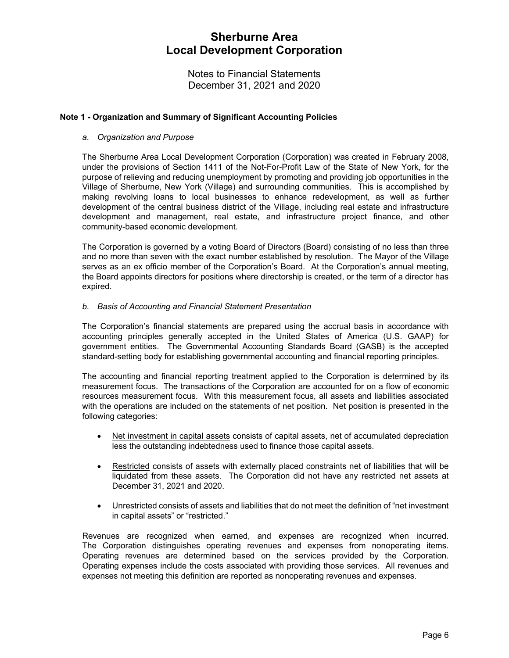Notes to Financial Statements December 31, 2021 and 2020

### **Note 1 - Organization and Summary of Significant Accounting Policies**

#### *a. Organization and Purpose*

The Sherburne Area Local Development Corporation (Corporation) was created in February 2008, under the provisions of Section 1411 of the Not-For-Profit Law of the State of New York, for the purpose of relieving and reducing unemployment by promoting and providing job opportunities in the Village of Sherburne, New York (Village) and surrounding communities. This is accomplished by making revolving loans to local businesses to enhance redevelopment, as well as further development of the central business district of the Village, including real estate and infrastructure development and management, real estate, and infrastructure project finance, and other community-based economic development.

The Corporation is governed by a voting Board of Directors (Board) consisting of no less than three and no more than seven with the exact number established by resolution. The Mayor of the Village serves as an ex officio member of the Corporation's Board. At the Corporation's annual meeting, the Board appoints directors for positions where directorship is created, or the term of a director has expired.

#### *b. Basis of Accounting and Financial Statement Presentation*

The Corporation's financial statements are prepared using the accrual basis in accordance with accounting principles generally accepted in the United States of America (U.S. GAAP) for government entities. The Governmental Accounting Standards Board (GASB) is the accepted standard-setting body for establishing governmental accounting and financial reporting principles.

The accounting and financial reporting treatment applied to the Corporation is determined by its measurement focus. The transactions of the Corporation are accounted for on a flow of economic resources measurement focus. With this measurement focus, all assets and liabilities associated with the operations are included on the statements of net position. Net position is presented in the following categories:

- Net investment in capital assets consists of capital assets, net of accumulated depreciation less the outstanding indebtedness used to finance those capital assets.
- Restricted consists of assets with externally placed constraints net of liabilities that will be liquidated from these assets. The Corporation did not have any restricted net assets at December 31, 2021 and 2020.
- Unrestricted consists of assets and liabilities that do not meet the definition of "net investment in capital assets" or "restricted."

Revenues are recognized when earned, and expenses are recognized when incurred. The Corporation distinguishes operating revenues and expenses from nonoperating items. Operating revenues are determined based on the services provided by the Corporation. Operating expenses include the costs associated with providing those services. All revenues and expenses not meeting this definition are reported as nonoperating revenues and expenses.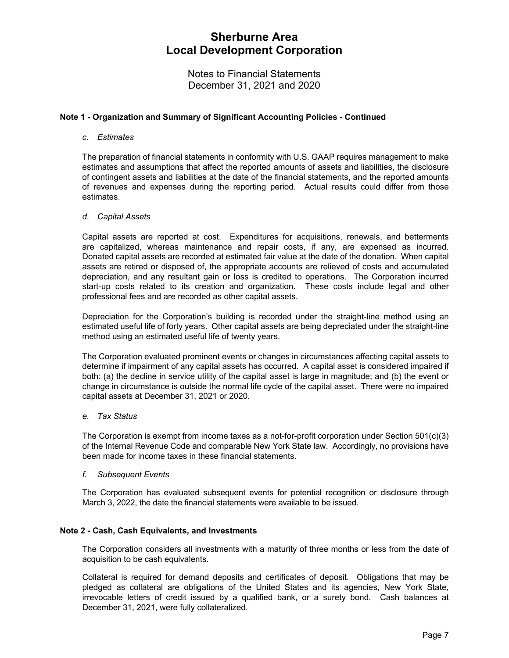Notes to Financial Statements December 31, 2021 and 2020

### **Note 1 - Organization and Summary of Significant Accounting Policies - Continued**

#### *c. Estimates*

The preparation of financial statements in conformity with U.S. GAAP requires management to make estimates and assumptions that affect the reported amounts of assets and liabilities, the disclosure of contingent assets and liabilities at the date of the financial statements, and the reported amounts of revenues and expenses during the reporting period. Actual results could differ from those estimates.

#### *d. Capital Assets*

Capital assets are reported at cost. Expenditures for acquisitions, renewals, and betterments are capitalized, whereas maintenance and repair costs, if any, are expensed as incurred. Donated capital assets are recorded at estimated fair value at the date of the donation. When capital assets are retired or disposed of, the appropriate accounts are relieved of costs and accumulated depreciation, and any resultant gain or loss is credited to operations. The Corporation incurred start-up costs related to its creation and organization. These costs include legal and other professional fees and are recorded as other capital assets.

Depreciation for the Corporation's building is recorded under the straight-line method using an estimated useful life of forty years. Other capital assets are being depreciated under the straight-line method using an estimated useful life of twenty years.

The Corporation evaluated prominent events or changes in circumstances affecting capital assets to determine if impairment of any capital assets has occurred. A capital asset is considered impaired if both: (a) the decline in service utility of the capital asset is large in magnitude; and (b) the event or change in circumstance is outside the normal life cycle of the capital asset. There were no impaired capital assets at December 31, 2021 or 2020.

#### *e. Tax Status*

The Corporation is exempt from income taxes as a not-for-profit corporation under Section 501(c)(3) of the Internal Revenue Code and comparable New York State law. Accordingly, no provisions have been made for income taxes in these financial statements.

#### *f. Subsequent Events*

The Corporation has evaluated subsequent events for potential recognition or disclosure through March 3, 2022, the date the financial statements were available to be issued.

#### **Note 2 - Cash, Cash Equivalents, and Investments**

The Corporation considers all investments with a maturity of three months or less from the date of acquisition to be cash equivalents.

Collateral is required for demand deposits and certificates of deposit. Obligations that may be pledged as collateral are obligations of the United States and its agencies, New York State, irrevocable letters of credit issued by a qualified bank, or a surety bond. Cash balances at December 31, 2021, were fully collateralized.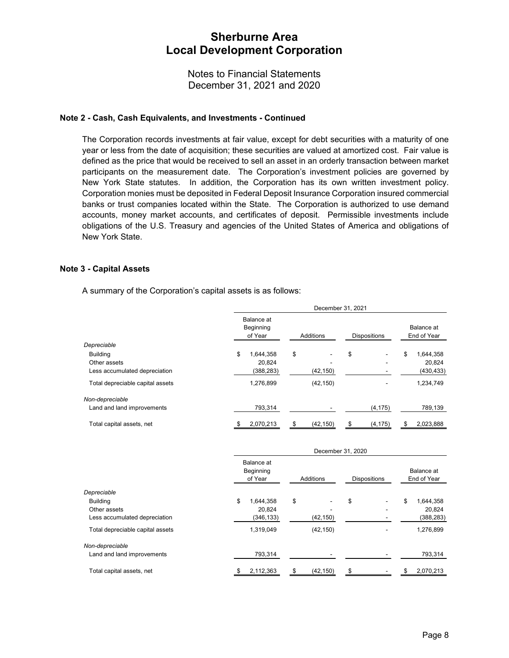Notes to Financial Statements December 31, 2021 and 2020

#### **Note 2 - Cash, Cash Equivalents, and Investments - Continued**

The Corporation records investments at fair value, except for debt securities with a maturity of one year or less from the date of acquisition; these securities are valued at amortized cost. Fair value is defined as the price that would be received to sell an asset in an orderly transaction between market participants on the measurement date. The Corporation's investment policies are governed by New York State statutes. In addition, the Corporation has its own written investment policy. Corporation monies must be deposited in Federal Deposit Insurance Corporation insured commercial banks or trust companies located within the State. The Corporation is authorized to use demand accounts, money market accounts, and certificates of deposit. Permissible investments include obligations of the U.S. Treasury and agencies of the United States of America and obligations of New York State.

#### **Note 3 - Capital Assets**

A summary of the Corporation's capital assets is as follows:

|                                  | December 31, 2021                  |           |                     |                           |
|----------------------------------|------------------------------------|-----------|---------------------|---------------------------|
|                                  | Balance at<br>Beginning<br>of Year | Additions | <b>Dispositions</b> | Balance at<br>End of Year |
| Depreciable                      |                                    |           |                     |                           |
| <b>Building</b>                  | \$<br>1,644,358                    | \$        | \$                  | \$<br>1,644,358           |
| Other assets                     | 20.824                             |           |                     | 20,824                    |
| Less accumulated depreciation    | (388, 283)                         | (42, 150) |                     | (430, 433)                |
| Total depreciable capital assets | 1.276.899                          | (42, 150) |                     | 1,234,749                 |
| Non-depreciable                  |                                    |           |                     |                           |
| Land and land improvements       | 793,314                            |           | (4, 175)            | 789,139                   |
| Total capital assets, net        | 2,070,213<br>\$                    | (42, 150) | (4, 175)<br>\$      | 2,023,888<br>\$           |

|                                  | December 31, 2020                  |           |                     |                           |
|----------------------------------|------------------------------------|-----------|---------------------|---------------------------|
|                                  | Balance at<br>Beginning<br>of Year | Additions | <b>Dispositions</b> | Balance at<br>End of Year |
| Depreciable                      |                                    |           |                     |                           |
| <b>Building</b>                  | \$<br>1.644.358                    | \$        | \$                  | \$<br>1,644,358           |
| Other assets                     | 20,824                             |           |                     | 20,824                    |
| Less accumulated depreciation    | (346, 133)                         | (42, 150) |                     | (388, 283)                |
| Total depreciable capital assets | 1,319,049                          | (42, 150) |                     | 1,276,899                 |
| Non-depreciable                  |                                    |           |                     |                           |
| Land and land improvements       | 793,314                            |           |                     | 793,314                   |
| Total capital assets, net        | 2,112,363                          | (42, 150) |                     | 2,070,213<br>æ.           |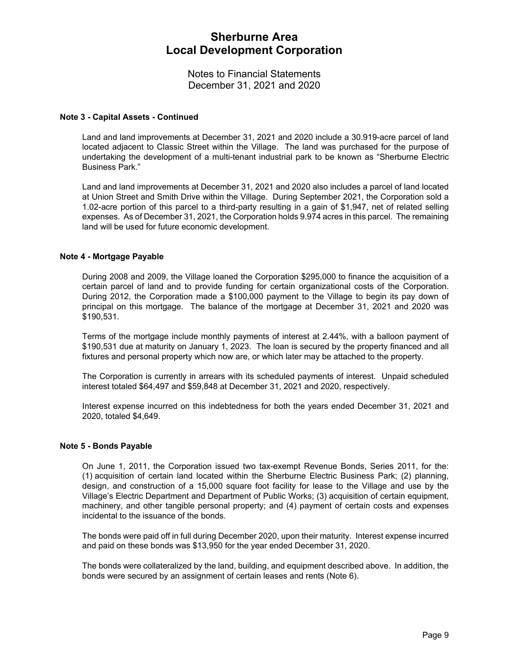Notes to Financial Statements December 31, 2021 and 2020

#### **Note 3 - Capital Assets - Continued**

Land and land improvements at December 31, 2021 and 2020 include a 30.919-acre parcel of land located adjacent to Classic Street within the Village. The land was purchased for the purpose of undertaking the development of a multi-tenant industrial park to be known as "Sherburne Electric Business Park."

Land and land improvements at December 31, 2021 and 2020 also includes a parcel of land located at Union Street and Smith Drive within the Village. During September 2021, the Corporation sold a 1.02-acre portion of this parcel to a third-party resulting in a gain of \$1,947, net of related selling expenses. As of December 31, 2021, the Corporation holds 9.974 acres in this parcel. The remaining land will be used for future economic development.

#### **Note 4 - Mortgage Payable**

During 2008 and 2009, the Village loaned the Corporation \$295,000 to finance the acquisition of a certain parcel of land and to provide funding for certain organizational costs of the Corporation. During 2012, the Corporation made a \$100,000 payment to the Village to begin its pay down of principal on this mortgage. The balance of the mortgage at December 31, 2021 and 2020 was \$190,531.

Terms of the mortgage include monthly payments of interest at 2.44%, with a balloon payment of \$190,531 due at maturity on January 1, 2023. The loan is secured by the property financed and all fixtures and personal property which now are, or which later may be attached to the property.

The Corporation is currently in arrears with its scheduled payments of interest. Unpaid scheduled interest totaled \$64,497 and \$59,848 at December 31, 2021 and 2020, respectively.

Interest expense incurred on this indebtedness for both the years ended December 31, 2021 and 2020, totaled \$4,649.

#### **Note 5 - Bonds Payable**

On June 1, 2011, the Corporation issued two tax-exempt Revenue Bonds, Series 2011, for the: (1) acquisition of certain land located within the Sherburne Electric Business Park; (2) planning, design, and construction of a 15,000 square foot facility for lease to the Village and use by the Village's Electric Department and Department of Public Works; (3) acquisition of certain equipment, machinery, and other tangible personal property; and (4) payment of certain costs and expenses incidental to the issuance of the bonds.

The bonds were paid off in full during December 2020, upon their maturity. Interest expense incurred and paid on these bonds was \$13,950 for the year ended December 31, 2020.

The bonds were collateralized by the land, building, and equipment described above. In addition, the bonds were secured by an assignment of certain leases and rents (Note 6).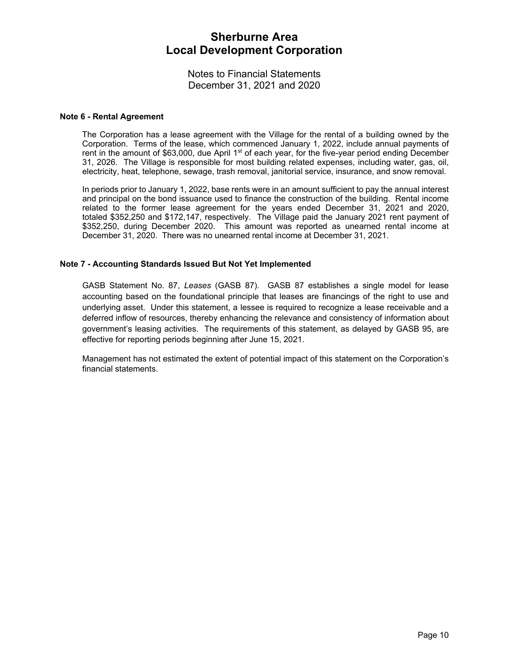Notes to Financial Statements December 31, 2021 and 2020

#### **Note 6 - Rental Agreement**

The Corporation has a lease agreement with the Village for the rental of a building owned by the Corporation. Terms of the lease, which commenced January 1, 2022, include annual payments of rent in the amount of \$63,000, due April  $1<sup>st</sup>$  of each year, for the five-year period ending December 31, 2026. The Village is responsible for most building related expenses, including water, gas, oil, electricity, heat, telephone, sewage, trash removal, janitorial service, insurance, and snow removal.

In periods prior to January 1, 2022, base rents were in an amount sufficient to pay the annual interest and principal on the bond issuance used to finance the construction of the building. Rental income related to the former lease agreement for the years ended December 31, 2021 and 2020, totaled \$352,250 and \$172,147, respectively. The Village paid the January 2021 rent payment of \$352,250, during December 2020. This amount was reported as unearned rental income at December 31, 2020. There was no unearned rental income at December 31, 2021.

#### **Note 7 - Accounting Standards Issued But Not Yet Implemented**

GASB Statement No. 87, *Leases* (GASB 87). GASB 87 establishes a single model for lease accounting based on the foundational principle that leases are financings of the right to use and underlying asset. Under this statement, a lessee is required to recognize a lease receivable and a deferred inflow of resources, thereby enhancing the relevance and consistency of information about government's leasing activities. The requirements of this statement, as delayed by GASB 95, are effective for reporting periods beginning after June 15, 2021.

Management has not estimated the extent of potential impact of this statement on the Corporation's financial statements.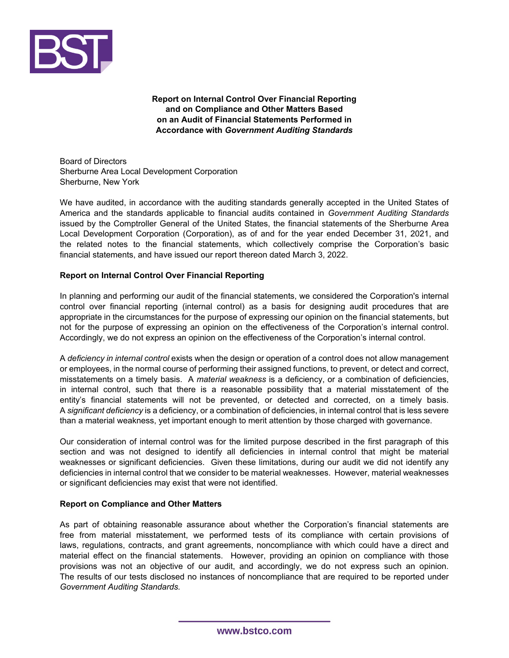

**Report on Internal Control Over Financial Reporting and on Compliance and Other Matters Based on an Audit of Financial Statements Performed in Accordance with** *Government Auditing Standards* 

Board of Directors Sherburne Area Local Development Corporation Sherburne, New York

We have audited, in accordance with the auditing standards generally accepted in the United States of America and the standards applicable to financial audits contained in *Government Auditing Standards*  issued by the Comptroller General of the United States, the financial statements of the Sherburne Area Local Development Corporation (Corporation), as of and for the year ended December 31, 2021, and the related notes to the financial statements, which collectively comprise the Corporation's basic financial statements, and have issued our report thereon dated March 3, 2022.

#### **Report on Internal Control Over Financial Reporting**

In planning and performing our audit of the financial statements, we considered the Corporation's internal control over financial reporting (internal control) as a basis for designing audit procedures that are appropriate in the circumstances for the purpose of expressing our opinion on the financial statements, but not for the purpose of expressing an opinion on the effectiveness of the Corporation's internal control. Accordingly, we do not express an opinion on the effectiveness of the Corporation's internal control.

A *deficiency in internal control* exists when the design or operation of a control does not allow management or employees, in the normal course of performing their assigned functions, to prevent, or detect and correct, misstatements on a timely basis. A *material weakness* is a deficiency, or a combination of deficiencies, in internal control, such that there is a reasonable possibility that a material misstatement of the entity's financial statements will not be prevented, or detected and corrected, on a timely basis. A *significant deficiency* is a deficiency, or a combination of deficiencies, in internal control that is less severe than a material weakness, yet important enough to merit attention by those charged with governance.

Our consideration of internal control was for the limited purpose described in the first paragraph of this section and was not designed to identify all deficiencies in internal control that might be material weaknesses or significant deficiencies. Given these limitations, during our audit we did not identify any deficiencies in internal control that we consider to be material weaknesses. However, material weaknesses or significant deficiencies may exist that were not identified.

#### **Report on Compliance and Other Matters**

As part of obtaining reasonable assurance about whether the Corporation's financial statements are free from material misstatement, we performed tests of its compliance with certain provisions of laws, regulations, contracts, and grant agreements, noncompliance with which could have a direct and material effect on the financial statements. However, providing an opinion on compliance with those provisions was not an objective of our audit, and accordingly, we do not express such an opinion. The results of our tests disclosed no instances of noncompliance that are required to be reported under *Government Auditing Standards.*